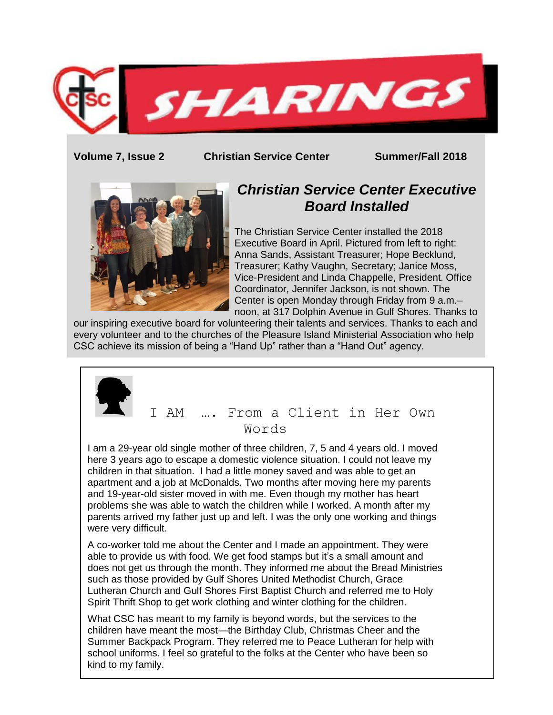

**Volume 7, Issue 2 Christian Service Center Summer/Fall 2018**



# *Christian Service Center Executive Board Installed*

The Christian Service Center installed the 2018 Executive Board in April. Pictured from left to right: Anna Sands, Assistant Treasurer; Hope Becklund, Treasurer; Kathy Vaughn, Secretary; Janice Moss, Vice-President and Linda Chappelle, President. Office Coordinator, Jennifer Jackson, is not shown. The Center is open Monday through Friday from 9 a.m.– noon, at 317 Dolphin Avenue in Gulf Shores. Thanks to

our inspiring executive board for volunteering their talents and services. Thanks to each and every volunteer and to the churches of the Pleasure Island Ministerial Association who help CSC achieve its mission of being a "Hand Up" rather than a "Hand Out" agency.

## I AM …. From a Client in Her Own Words

I am a 29-year old single mother of three children, 7, 5 and 4 years old. I moved here 3 years ago to escape a domestic violence situation. I could not leave my children in that situation. I had a little money saved and was able to get an apartment and a job at McDonalds. Two months after moving here my parents and 19-year-old sister moved in with me. Even though my mother has heart problems she was able to watch the children while I worked. A month after my parents arrived my father just up and left. I was the only one working and things were very difficult.

A co-worker told me about the Center and I made an appointment. They were able to provide us with food. We get food stamps but it's a small amount and does not get us through the month. They informed me about the Bread Ministries such as those provided by Gulf Shores United Methodist Church, Grace Lutheran Church and Gulf Shores First Baptist Church and referred me to Holy Spirit Thrift Shop to get work clothing and winter clothing for the children.

What CSC has meant to my family is beyond words, but the services to the children have meant the most—the Birthday Club, Christmas Cheer and the Summer Backpack Program. They referred me to Peace Lutheran for help with school uniforms. I feel so grateful to the folks at the Center who have been so kind to my family.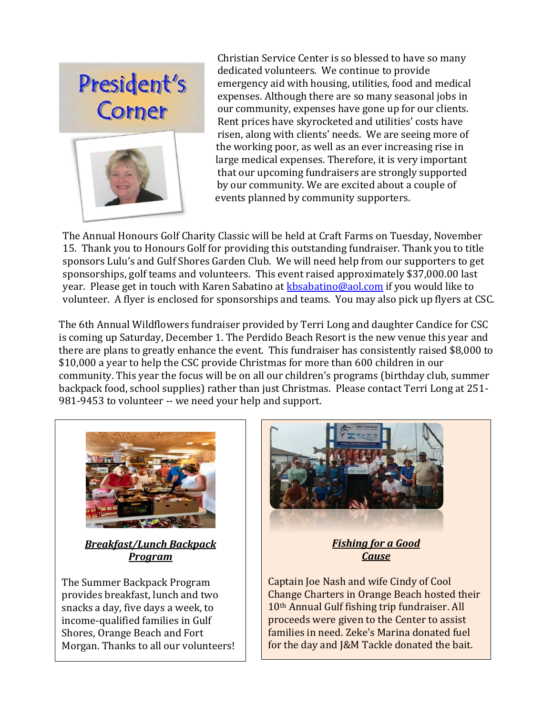

 Christian Service Center is so blessed to have so many dedicated volunteers. We continue to provide emergency aid with housing, utilities, food and medical expenses. Although there are so many seasonal jobs in our community, expenses have gone up for our clients. Rent prices have skyrocketed and utilities' costs have risen, along with clients' needs. We are seeing more of the working poor, as well as an ever increasing rise in large medical expenses. Therefore, it is very important that our upcoming fundraisers are strongly supported by our community. We are excited about a couple of events planned by community supporters.

The Annual Honours Golf Charity Classic will be held at Craft Farms on Tuesday, November 15. Thank you to Honours Golf for providing this outstanding fundraiser. Thank you to title sponsors Lulu's and Gulf Shores Garden Club. We will need help from our supporters to get sponsorships, golf teams and volunteers. This event raised approximately \$37,000.00 last year. Please get in touch with Karen Sabatino at **kbsabatino@aol.com** if you would like to volunteer. A flyer is enclosed for sponsorships and teams. You may also pick up flyers at CSC.

The 6th Annual Wildflowers fundraiser provided by Terri Long and daughter Candice for CSC is coming up Saturday, December 1. The Perdido Beach Resort is the new venue this year and there are plans to greatly enhance the event. This fundraiser has consistently raised \$8,000 to \$10,000 a year to help the CSC provide Christmas for more than 600 children in our community. This year the focus will be on all our children's programs (birthday club, summer backpack food, school supplies) rather than just Christmas. Please contact Terri Long at 251- 981-9453 to volunteer -- we need your help and support.



*Breakfast/Lunch Backpack Program*

The Summer Backpack Program provides breakfast, lunch and two snacks a day, five days a week, to income-qualified families in Gulf Shores, Orange Beach and Fort Morgan. Thanks to all our volunteers!



### *Fishing for a Good Cause*

Captain Joe Nash and wife Cindy of Cool Change Charters in Orange Beach hosted their 10th Annual Gulf fishing trip fundraiser. All proceeds were given to the Center to assist families in need. Zeke's Marina donated fuel for the day and J&M Tackle donated the bait.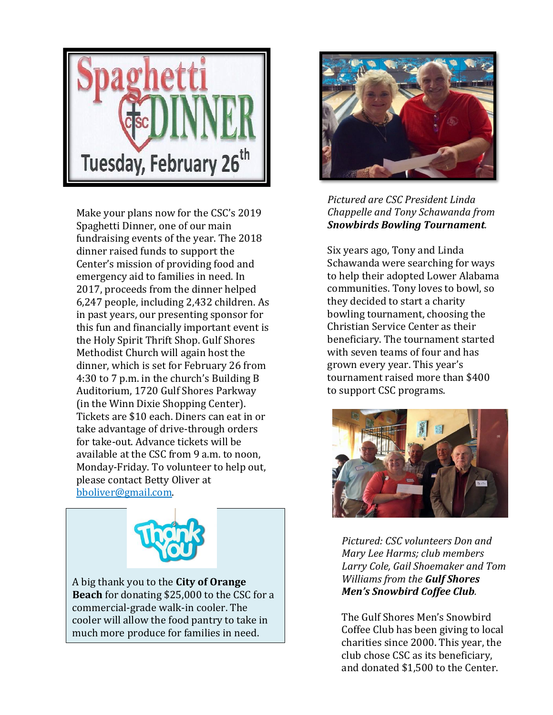

Make your plans now for the CSC's 2019 Spaghetti Dinner, one of our main fundraising events of the year. The 2018 dinner raised funds to support the Center's mission of providing food and emergency aid to families in need. In 2017, proceeds from the dinner helped 6,247 people, including 2,432 children. As in past years, our presenting sponsor for this fun and financially important event is the Holy Spirit Thrift Shop. Gulf Shores Methodist Church will again host the dinner, which is set for February 26 from 4:30 to 7 p.m. in the church's Building B Auditorium, 1720 Gulf Shores Parkway (in the Winn Dixie Shopping Center). Tickets are \$10 each. Diners can eat in or take advantage of drive-through orders for take-out. Advance tickets will be available at the CSC from 9 a.m. to noon, Monday-Friday. To volunteer to help out, please contact Betty Oliver at bboliver@gmail.com.



A big thank you to the **City of Orange Beach** for donating \$25,000 to the CSC for a commercial-grade walk-in cooler. The cooler will allow the food pantry to take in much more produce for families in need.



*Pictured are CSC President Linda Chappelle and Tony Schawanda from Snowbirds Bowling Tournament.*

Six years ago, Tony and Linda Schawanda were searching for ways to help their adopted Lower Alabama communities. Tony loves to bowl, so they decided to start a charity bowling tournament, choosing the Christian Service Center as their beneficiary. The tournament started with seven teams of four and has grown every year. This year's tournament raised more than \$400 to support CSC programs.



*Pictured: CSC volunteers Don and Mary Lee Harms; club members Larry Cole, Gail Shoemaker and Tom Williams from the Gulf Shores Men's Snowbird Coffee Club.*

The Gulf Shores Men's Snowbird Coffee Club has been giving to local charities since 2000. This year, the club chose CSC as its beneficiary, and donated \$1,500 to the Center.